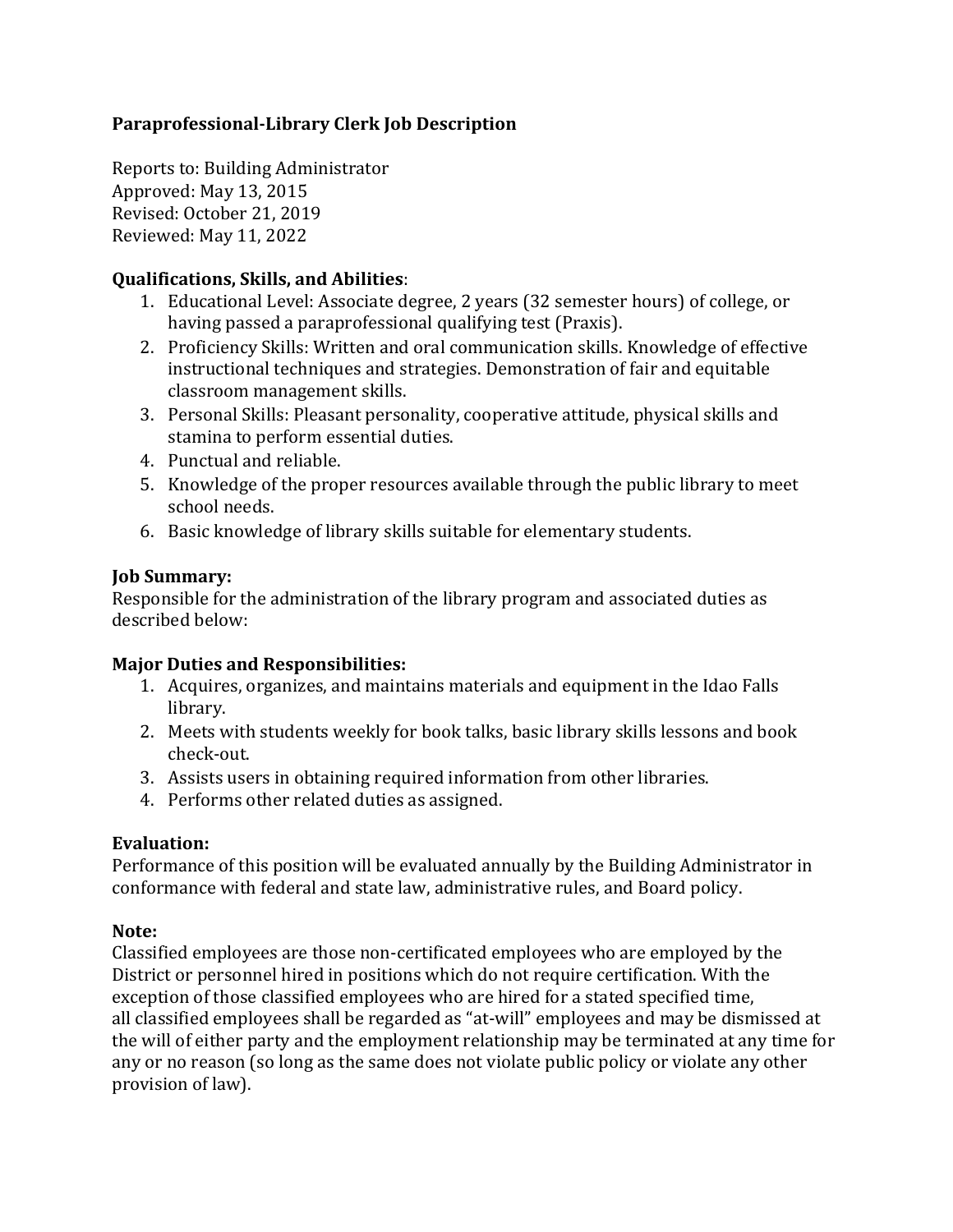## **Paraprofessional-Library Clerk Job Description**

Reports to: Building Administrator Approved: May 13, 2015 Revised: October 21, 2019 Reviewed: May 11, 2022

#### **Qualifications, Skills, and Abilities**:

- 1. Educational Level: Associate degree, 2 years (32 semester hours) of college, or having passed a paraprofessional qualifying test (Praxis).
- 2. Proficiency Skills: Written and oral communication skills. Knowledge of effective instructional techniques and strategies. Demonstration of fair and equitable classroom management skills.
- 3. Personal Skills: Pleasant personality, cooperative attitude, physical skills and stamina to perform essential duties.
- 4. Punctual and reliable.
- 5. Knowledge of the proper resources available through the public library to meet school needs.
- 6. Basic knowledge of library skills suitable for elementary students.

### **Job Summary:**

Responsible for the administration of the library program and associated duties as described below:

### **Major Duties and Responsibilities:**

- 1. Acquires, organizes, and maintains materials and equipment in the Idao Falls library.
- 2. Meets with students weekly for book talks, basic library skills lessons and book check-out.
- 3. Assists users in obtaining required information from other libraries.
- 4. Performs other related duties as assigned.

# **Evaluation:**

Performance of this position will be evaluated annually by the Building Administrator in conformance with federal and state law, administrative rules, and Board policy.

### **Note:**

Classified employees are those non-certificated employees who are employed by the District or personnel hired in positions which do not require certification. With the exception of those classified employees who are hired for a stated specified time, all classified employees shall be regarded as "at-will" employees and may be dismissed at the will of either party and the employment relationship may be terminated at any time for any or no reason (so long as the same does not violate public policy or violate any other provision of law).